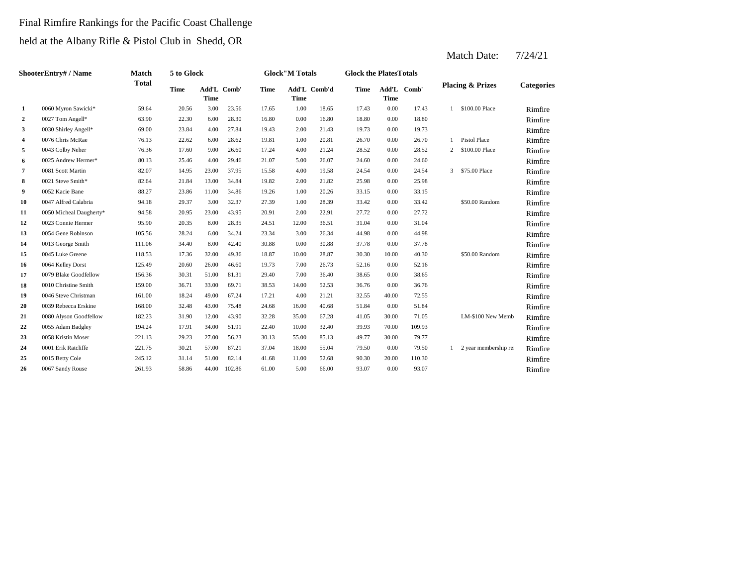#### Final Rimfire Rankings for the Pacific Coast Challenge

held at the Albany Rifle & Pistol Club in Shedd, OR

|                | ShooterEntry# / Name    | Match        | 5 to Glock  |                     |        |             | <b>Glock"M Totals</b> |              | <b>Glock the Plates Totals</b> |             |             |   |                             |                   |
|----------------|-------------------------|--------------|-------------|---------------------|--------|-------------|-----------------------|--------------|--------------------------------|-------------|-------------|---|-----------------------------|-------------------|
|                |                         | <b>Total</b> | <b>Time</b> | Add'L Comb'<br>Time |        | <b>Time</b> | <b>Time</b>           | Add'L Comb'd | <b>Time</b>                    | <b>Time</b> | Add'L Comb' |   | <b>Placing &amp; Prizes</b> | <b>Categories</b> |
| 1              | 0060 Myron Sawicki*     | 59.64        | 20.56       | 3.00                | 23.56  | 17.65       | 1.00                  | 18.65        | 17.43                          | 0.00        | 17.43       |   | \$100.00 Place              | Rimfire           |
| $\overline{a}$ | 0027 Tom Angell*        | 63.90        | 22.30       | 6.00                | 28.30  | 16.80       | 0.00                  | 16.80        | 18.80                          | 0.00        | 18.80       |   |                             | Rimfire           |
| 3              | 0030 Shirley Angell*    | 69.00        | 23.84       | 4.00                | 27.84  | 19.43       | 2.00                  | 21.43        | 19.73                          | 0.00        | 19.73       |   |                             | Rimfire           |
| 4              | 0076 Chris McRae        | 76.13        | 22.62       | 6.00                | 28.62  | 19.81       | 1.00                  | 20.81        | 26.70                          | 0.00        | 26.70       |   | <b>Pistol Place</b>         | Rimfire           |
| 5              | 0043 Colby Neher        | 76.36        | 17.60       | 9.00                | 26.60  | 17.24       | 4.00                  | 21.24        | 28.52                          | 0.00        | 28.52       | 2 | \$100.00 Place              | Rimfire           |
| 6              | 0025 Andrew Hermer*     | 80.13        | 25.46       | 4.00                | 29.46  | 21.07       | 5.00                  | 26.07        | 24.60                          | 0.00        | 24.60       |   |                             | Rimfire           |
| 7              | 0081 Scott Martin       | 82.07        | 14.95       | 23.00               | 37.95  | 15.58       | 4.00                  | 19.58        | 24.54                          | 0.00        | 24.54       |   | 3 \$75.00 Place             | Rimfire           |
| 8              | 0021 Steve Smith*       | 82.64        | 21.84       | 13.00               | 34.84  | 19.82       | 2.00                  | 21.82        | 25.98                          | 0.00        | 25.98       |   |                             | Rimfire           |
| 9              | 0052 Kacie Bane         | 88.27        | 23.86       | 11.00               | 34.86  | 19.26       | 1.00                  | 20.26        | 33.15                          | 0.00        | 33.15       |   |                             | Rimfire           |
| 10             | 0047 Alfred Calabria    | 94.18        | 29.37       | 3.00                | 32.37  | 27.39       | 1.00                  | 28.39        | 33.42                          | 0.00        | 33.42       |   | \$50.00 Random              | Rimfire           |
| 11             | 0050 Micheal Daugherty* | 94.58        | 20.95       | 23.00               | 43.95  | 20.91       | 2.00                  | 22.91        | 27.72                          | 0.00        | 27.72       |   |                             | Rimfire           |
| 12             | 0023 Connie Hermer      | 95.90        | 20.35       | 8.00                | 28.35  | 24.51       | 12.00                 | 36.51        | 31.04                          | 0.00        | 31.04       |   |                             | Rimfire           |
| 13             | 0054 Gene Robinson      | 105.56       | 28.24       | 6.00                | 34.24  | 23.34       | 3.00                  | 26.34        | 44.98                          | 0.00        | 44.98       |   |                             | Rimfire           |
| 14             | 0013 George Smith       | 111.06       | 34.40       | 8.00                | 42.40  | 30.88       | 0.00                  | 30.88        | 37.78                          | 0.00        | 37.78       |   |                             | Rimfire           |
| 15             | 0045 Luke Greene        | 118.53       | 17.36       | 32.00               | 49.36  | 18.87       | 10.00                 | 28.87        | 30.30                          | 10.00       | 40.30       |   | \$50.00 Random              | Rimfire           |
| 16             | 0064 Kelley Dorst       | 125.49       | 20.60       | 26.00               | 46.60  | 19.73       | 7.00                  | 26.73        | 52.16                          | 0.00        | 52.16       |   |                             | Rimfire           |
| 17             | 0079 Blake Goodfellow   | 156.36       | 30.31       | 51.00               | 81.31  | 29.40       | 7.00                  | 36.40        | 38.65                          | 0.00        | 38.65       |   |                             | Rimfire           |
| 18             | 0010 Christine Smith    | 159.00       | 36.71       | 33.00               | 69.71  | 38.53       | 14.00                 | 52.53        | 36.76                          | 0.00        | 36.76       |   |                             | Rimfire           |
| 19             | 0046 Steve Christman    | 161.00       | 18.24       | 49.00               | 67.24  | 17.21       | 4.00                  | 21.21        | 32.55                          | 40.00       | 72.55       |   |                             | Rimfire           |
| 20             | 0039 Rebecca Erskine    | 168.00       | 32.48       | 43.00               | 75.48  | 24.68       | 16.00                 | 40.68        | 51.84                          | 0.00        | 51.84       |   |                             | Rimfire           |
| 21             | 0080 Alyson Goodfellow  | 182.23       | 31.90       | 12.00               | 43.90  | 32.28       | 35.00                 | 67.28        | 41.05                          | 30.00       | 71.05       |   | LM-\$100 New Memb           | Rimfire           |
| 22             | 0055 Adam Badgley       | 194.24       | 17.91       | 34.00               | 51.91  | 22.40       | 10.00                 | 32.40        | 39.93                          | 70.00       | 109.93      |   |                             | Rimfire           |
| 23             | 0058 Kristin Moser      | 221.13       | 29.23       | 27.00               | 56.23  | 30.13       | 55.00                 | 85.13        | 49.77                          | 30.00       | 79.77       |   |                             | Rimfire           |
| 24             | 0001 Erik Ratcliffe     | 221.75       | 30.21       | 57.00               | 87.21  | 37.04       | 18.00                 | 55.04        | 79.50                          | 0.00        | 79.50       |   | 2 year membership rei       | Rimfire           |
| 25             | 0015 Betty Cole         | 245.12       | 31.14       | 51.00               | 82.14  | 41.68       | 11.00                 | 52.68        | 90.30                          | 20.00       | 110.30      |   |                             | Rimfire           |
| 26             | 0067 Sandy Rouse        | 261.93       | 58.86       | 44.00               | 102.86 | 61.00       | 5.00                  | 66.00        | 93.07                          | 0.00        | 93.07       |   |                             | Rimfire           |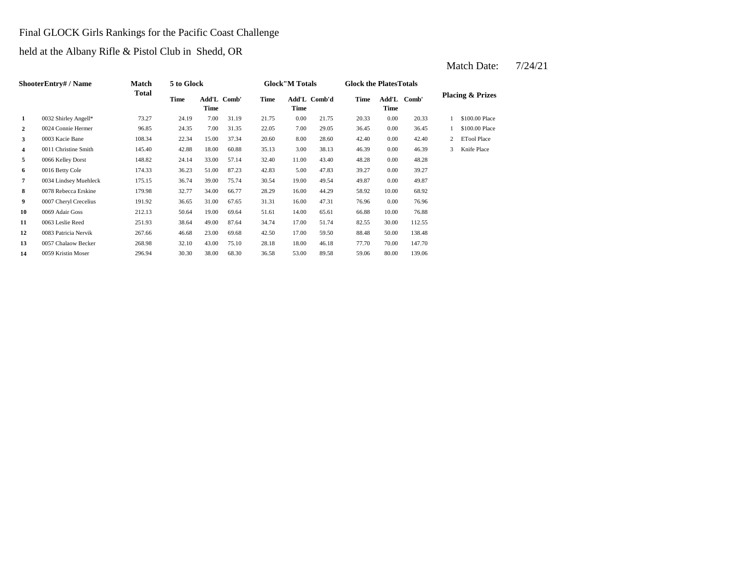# Final GLOCK Girls Rankings for the Pacific Coast Challenge

held at the Albany Rifle & Pistol Club in Shedd, OR

|                | ShooterEntry# / Name  | <b>Match</b> | 5 to Glock |       |             |       | <b>Glock</b> "M Totals |              | <b>Glock the Plates Totals</b> |          |             |   |                             |
|----------------|-----------------------|--------------|------------|-------|-------------|-------|------------------------|--------------|--------------------------------|----------|-------------|---|-----------------------------|
|                |                       | Total        | Time       | Time  | Add'L Comb' | Time  | Time                   | Add'L Comb'd | Time                           | Time     | Add'L Comb' |   | <b>Placing &amp; Prizes</b> |
| 1              | 0032 Shirley Angell*  | 73.27        | 24.19      | 7.00  | 31.19       | 21.75 | 0.00                   | 21.75        | 20.33                          | 0.00     | 20.33       |   | \$100.00 Place              |
| $\overline{2}$ | 0024 Connie Hermer    | 96.85        | 24.35      | 7.00  | 31.35       | 22.05 | 7.00                   | 29.05        | 36.45                          | 0.00     | 36.45       |   | \$100.00 Place              |
| 3              | 0003 Kacie Bane       | 108.34       | 22.34      | 15.00 | 37.34       | 20.60 | 8.00                   | 28.60        | 42.40                          | $0.00\,$ | 42.40       | 2 | <b>ETool Place</b>          |
| 4              | 0011 Christine Smith  | 145.40       | 42.88      | 18.00 | 60.88       | 35.13 | 3.00                   | 38.13        | 46.39                          | 0.00     | 46.39       | 3 | Knife Place                 |
| 5              | 0066 Kelley Dorst     | 148.82       | 24.14      | 33.00 | 57.14       | 32.40 | 11.00                  | 43.40        | 48.28                          | 0.00     | 48.28       |   |                             |
| 6              | 0016 Betty Cole       | 174.33       | 36.23      | 51.00 | 87.23       | 42.83 | 5.00                   | 47.83        | 39.27                          | 0.00     | 39.27       |   |                             |
| 7              | 0034 Lindsey Muehleck | 175.15       | 36.74      | 39.00 | 75.74       | 30.54 | 19.00                  | 49.54        | 49.87                          | 0.00     | 49.87       |   |                             |
| 8              | 0078 Rebecca Erskine  | 179.98       | 32.77      | 34.00 | 66.77       | 28.29 | 16.00                  | 44.29        | 58.92                          | 10.00    | 68.92       |   |                             |
| 9              | 0007 Cheryl Crecelius | 191.92       | 36.65      | 31.00 | 67.65       | 31.31 | 16.00                  | 47.31        | 76.96                          | 0.00     | 76.96       |   |                             |
| 10             | 0069 Adair Goss       | 212.13       | 50.64      | 19.00 | 69.64       | 51.61 | 14.00                  | 65.61        | 66.88                          | 10.00    | 76.88       |   |                             |
| 11             | 0063 Leslie Reed      | 251.93       | 38.64      | 49.00 | 87.64       | 34.74 | 17.00                  | 51.74        | 82.55                          | 30.00    | 112.55      |   |                             |
| 12             | 0083 Patricia Nervik  | 267.66       | 46.68      | 23.00 | 69.68       | 42.50 | 17.00                  | 59.50        | 88.48                          | 50.00    | 138.48      |   |                             |
| 13             | 0057 Chalaow Becker   | 268.98       | 32.10      | 43.00 | 75.10       | 28.18 | 18.00                  | 46.18        | 77.70                          | 70.00    | 147.70      |   |                             |
| 14             | 0059 Kristin Moser    | 296.94       | 30.30      | 38.00 | 68.30       | 36.58 | 53.00                  | 89.58        | 59.06                          | 80.00    | 139.06      |   |                             |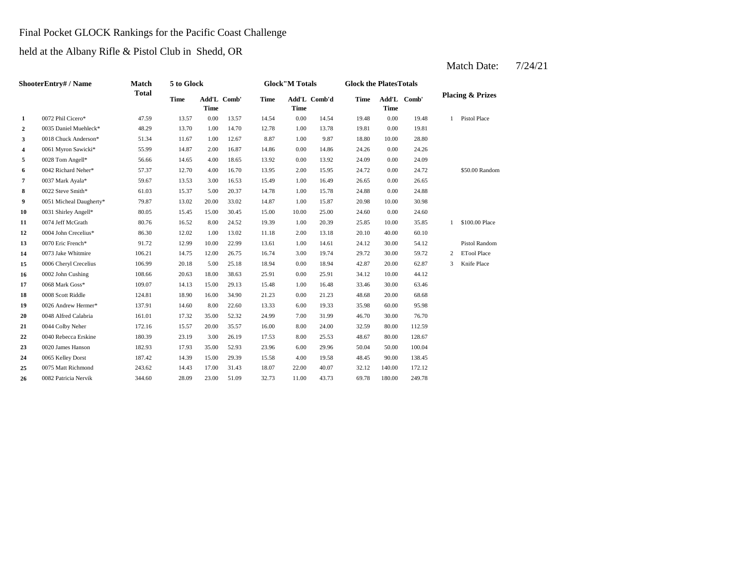# Final Pocket GLOCK Rankings for the Pacific Coast Challenge

held at the Albany Rifle & Pistol Club in Shedd, OR

|                | ShooterEntry# / Name          | Match        | 5 to Glock  |             |             |             | <b>Glock"M Totals</b> |              | <b>Glock the PlatesTotals</b> |             |             |    |                             |
|----------------|-------------------------------|--------------|-------------|-------------|-------------|-------------|-----------------------|--------------|-------------------------------|-------------|-------------|----|-----------------------------|
|                |                               | <b>Total</b> | <b>Time</b> | <b>Time</b> | Add'L Comb' | <b>Time</b> | <b>Time</b>           | Add'L Comb'd | <b>Time</b>                   | <b>Time</b> | Add'L Comb' |    | <b>Placing &amp; Prizes</b> |
| 1              | 0072 Phil Cicero*             | 47.59        | 13.57       | 0.00        | 13.57       | 14.54       | 0.00                  | 14.54        | 19.48                         | 0.00        | 19.48       | 1. | Pistol Place                |
| $\overline{2}$ | 0035 Daniel Muehleck*         | 48.29        | 13.70       | 1.00        | 14.70       | 12.78       | 1.00                  | 13.78        | 19.81                         | 0.00        | 19.81       |    |                             |
| 3              | 0018 Chuck Anderson*          | 51.34        | 11.67       | 1.00        | 12.67       | 8.87        | 1.00                  | 9.87         | 18.80                         | 10.00       | 28.80       |    |                             |
| 4              | 0061 Myron Sawicki*           | 55.99        | 14.87       | 2.00        | 16.87       | 14.86       | 0.00                  | 14.86        | 24.26                         | 0.00        | 24.26       |    |                             |
| 5              | 0028 Tom Angell*              | 56.66        | 14.65       | 4.00        | 18.65       | 13.92       | 0.00                  | 13.92        | 24.09                         | 0.00        | 24.09       |    |                             |
| 6              | 0042 Richard Neher*           | 57.37        | 12.70       | 4.00        | 16.70       | 13.95       | 2.00                  | 15.95        | 24.72                         | 0.00        | 24.72       |    | \$50.00 Random              |
| 7              | 0037 Mark Ayala*              | 59.67        | 13.53       | 3.00        | 16.53       | 15.49       | 1.00                  | 16.49        | 26.65                         | 0.00        | 26.65       |    |                             |
| 8              | 0022 Steve Smith*             | 61.03        | 15.37       | 5.00        | 20.37       | 14.78       | 1.00                  | 15.78        | 24.88                         | 0.00        | 24.88       |    |                             |
| 9              | 0051 Micheal Daugherty*       | 79.87        | 13.02       | 20.00       | 33.02       | 14.87       | 1.00                  | 15.87        | 20.98                         | 10.00       | 30.98       |    |                             |
| 10             | 0031 Shirley Angell*          | 80.05        | 15.45       | 15.00       | 30.45       | 15.00       | 10.00                 | 25.00        | 24.60                         | 0.00        | 24.60       |    |                             |
| 11             | 0074 Jeff McGrath             | 80.76        | 16.52       | 8.00        | 24.52       | 19.39       | 1.00                  | 20.39        | 25.85                         | 10.00       | 35.85       | 1  | \$100.00 Place              |
| 12             | 0004 John Crecelius*          | 86.30        | 12.02       | 1.00        | 13.02       | 11.18       | 2.00                  | 13.18        | 20.10                         | 40.00       | 60.10       |    |                             |
| 13             | 0070 Eric French*             | 91.72        | 12.99       | 10.00       | 22.99       | 13.61       | 1.00                  | 14.61        | 24.12                         | 30.00       | 54.12       |    | <b>Pistol Random</b>        |
| 14             | 0073 Jake Whitmire            | 106.21       | 14.75       | 12.00       | 26.75       | 16.74       | 3.00                  | 19.74        | 29.72                         | 30.00       | 59.72       | 2  | <b>ETool Place</b>          |
| 15             | 0006 Cheryl Crecelius         | 106.99       | 20.18       | 5.00        | 25.18       | 18.94       | 0.00                  | 18.94        | 42.87                         | 20.00       | 62.87       | 3  | Knife Place                 |
| 16             | 0002 John Cushing             | 108.66       | 20.63       | 18.00       | 38.63       | 25.91       | 0.00                  | 25.91        | 34.12                         | 10.00       | 44.12       |    |                             |
| 17             | $0068$ Mark $\mathrm{Goss}^*$ | 109.07       | 14.13       | 15.00       | 29.13       | 15.48       | 1.00                  | 16.48        | 33.46                         | 30.00       | 63.46       |    |                             |
| 18             | 0008 Scott Riddle             | 124.81       | 18.90       | 16.00       | 34.90       | 21.23       | 0.00                  | 21.23        | 48.68                         | 20.00       | 68.68       |    |                             |
| 19             | 0026 Andrew Hermer*           | 137.91       | 14.60       | 8.00        | 22.60       | 13.33       | 6.00                  | 19.33        | 35.98                         | 60.00       | 95.98       |    |                             |
| 20             | 0048 Alfred Calabria          | 161.01       | 17.32       | 35.00       | 52.32       | 24.99       | 7.00                  | 31.99        | 46.70                         | 30.00       | 76.70       |    |                             |
| 21             | 0044 Colby Neher              | 172.16       | 15.57       | 20.00       | 35.57       | 16.00       | 8.00                  | 24.00        | 32.59                         | 80.00       | 112.59      |    |                             |
| 22             | 0040 Rebecca Erskine          | 180.39       | 23.19       | 3.00        | 26.19       | 17.53       | 8.00                  | 25.53        | 48.67                         | 80.00       | 128.67      |    |                             |
| 23             | 0020 James Hanson             | 182.93       | 17.93       | 35.00       | 52.93       | 23.96       | 6.00                  | 29.96        | 50.04                         | 50.00       | 100.04      |    |                             |
| 24             | 0065 Kelley Dorst             | 187.42       | 14.39       | 15.00       | 29.39       | 15.58       | 4.00                  | 19.58        | 48.45                         | 90.00       | 138.45      |    |                             |
| 25             | 0075 Matt Richmond            | 243.62       | 14.43       | 17.00       | 31.43       | 18.07       | 22.00                 | 40.07        | 32.12                         | 140.00      | 172.12      |    |                             |
| 26             | 0082 Patricia Nervik          | 344.60       | 28.09       | 23.00       | 51.09       | 32.73       | 11.00                 | 43.73        | 69.78                         | 180.00      | 249.78      |    |                             |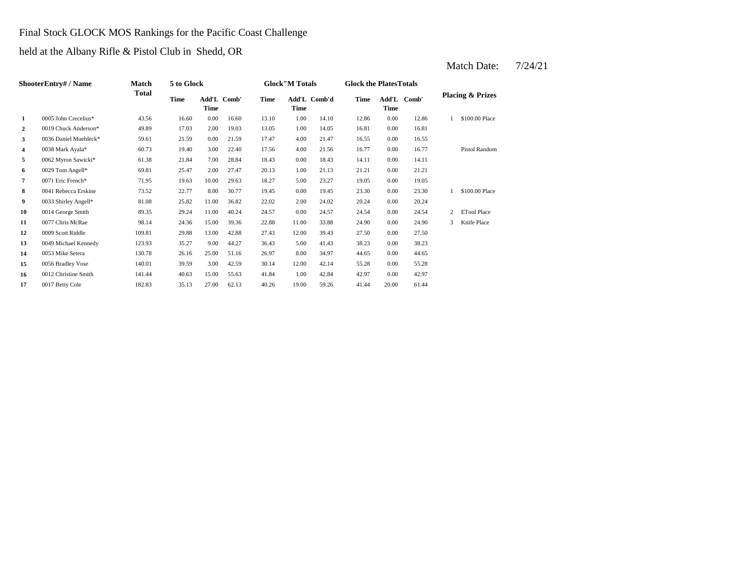# Final Stock GLOCK MOS Rankings for the Pacific Coast Challenge

held at the Albany Rifle & Pistol Club in Shedd, OR

|                | ShooterEntry# / Name  | Match  | 5 to Glock |             |             |       | <b>Glock</b> "M Totals |              | <b>Glock the Plates Totals</b> |       |             |                |                             |
|----------------|-----------------------|--------|------------|-------------|-------------|-------|------------------------|--------------|--------------------------------|-------|-------------|----------------|-----------------------------|
|                |                       | Total  | Time       | <b>Time</b> | Add'L Comb' | Time  | Time                   | Add'L Comb'd | Time                           | Time  | Add'L Comb' |                | <b>Placing &amp; Prizes</b> |
| 1              | 0005 John Crecelius*  | 43.56  | 16.60      | 0.00        | 16.60       | 13.10 | 1.00                   | 14.10        | 12.86                          | 0.00  | 12.86       |                | \$100.00 Place              |
| $\overline{2}$ | 0019 Chuck Anderson*  | 49.89  | 17.03      | 2.00        | 19.03       | 13.05 | 1.00                   | 14.05        | 16.81                          | 0.00  | 16.81       |                |                             |
| 3              | 0036 Daniel Muehleck* | 59.61  | 21.59      | 0.00        | 21.59       | 17.47 | 4.00                   | 21.47        | 16.55                          | 0.00  | 16.55       |                |                             |
| 4              | 0038 Mark Ayala*      | 60.73  | 19.40      | 3.00        | 22.40       | 17.56 | 4.00                   | 21.56        | 16.77                          | 0.00  | 16.77       |                | <b>Pistol Random</b>        |
| 5              | 0062 Myron Sawicki*   | 61.38  | 21.84      | 7.00        | 28.84       | 18.43 | 0.00                   | 18.43        | 14.11                          | 0.00  | 14.11       |                |                             |
| 6              | 0029 Tom Angell*      | 69.81  | 25.47      | 2.00        | 27.47       | 20.13 | 1.00                   | 21.13        | 21.21                          | 0.00  | 21.21       |                |                             |
| $\pmb{7}$      | 0071 Eric French*     | 71.95  | 19.63      | 10.00       | 29.63       | 18.27 | 5.00                   | 23.27        | 19.05                          | 0.00  | 19.05       |                |                             |
| 8              | 0041 Rebecca Erskine  | 73.52  | 22.77      | 8.00        | 30.77       | 19.45 | 0.00                   | 19.45        | 23.30                          | 0.00  | 23.30       |                | \$100,00 Place              |
| 9              | 0033 Shirley Angell*  | 81.08  | 25.82      | 11.00       | 36.82       | 22.02 | 2.00                   | 24.02        | 20.24                          | 0.00  | 20.24       |                |                             |
| 10             | 0014 George Smith     | 89.35  | 29.24      | 11.00       | 40.24       | 24.57 | 0.00                   | 24.57        | 24.54                          | 0.00  | 24.54       | $\overline{2}$ | <b>ETool Place</b>          |
| 11             | 0077 Chris McRae      | 98.14  | 24.36      | 15.00       | 39.36       | 22.88 | 11.00                  | 33.88        | 24.90                          | 0.00  | 24.90       | 3              | Knife Place                 |
| 12             | 0009 Scott Riddle     | 109.81 | 29.88      | 13.00       | 42.88       | 27.43 | 12.00                  | 39.43        | 27.50                          | 0.00  | 27.50       |                |                             |
| 13             | 0049 Michael Kennedy  | 123.93 | 35.27      | 9.00        | 44.27       | 36.43 | 5.00                   | 41.43        | 38.23                          | 0.00  | 38.23       |                |                             |
| 14             | 0053 Mike Setera      | 130.78 | 26.16      | 25.00       | 51.16       | 26.97 | 8.00                   | 34.97        | 44.65                          | 0.00  | 44.65       |                |                             |
| 15             | 0056 Bradley Vose     | 140.01 | 39.59      | 3.00        | 42.59       | 30.14 | 12.00                  | 42.14        | 55.28                          | 0.00  | 55.28       |                |                             |
| 16             | 0012 Christine Smith  | 141.44 | 40.63      | 15.00       | 55.63       | 41.84 | 1.00                   | 42.84        | 42.97                          | 0.00  | 42.97       |                |                             |
| 17             | 0017 Betty Cole       | 182.83 | 35.13      | 27.00       | 62.13       | 40.26 | 19.00                  | 59.26        | 41.44                          | 20.00 | 61.44       |                |                             |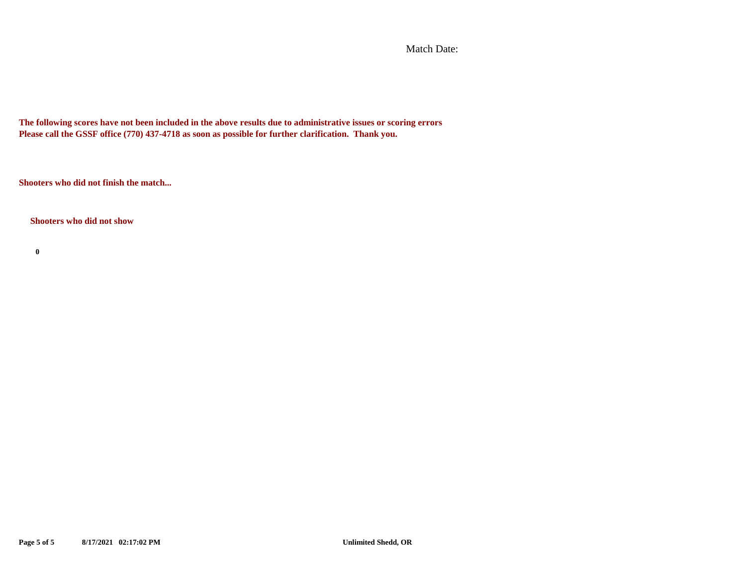Match Date:

**The following scores have not been included in the above results due to administrative issues or scoring errors Please call the GSSF office (770) 437-4718 as soon as possible for further clarification. Thank you.**

**Shooters who did not finish the match...**

**Shooters who did not show**

**0**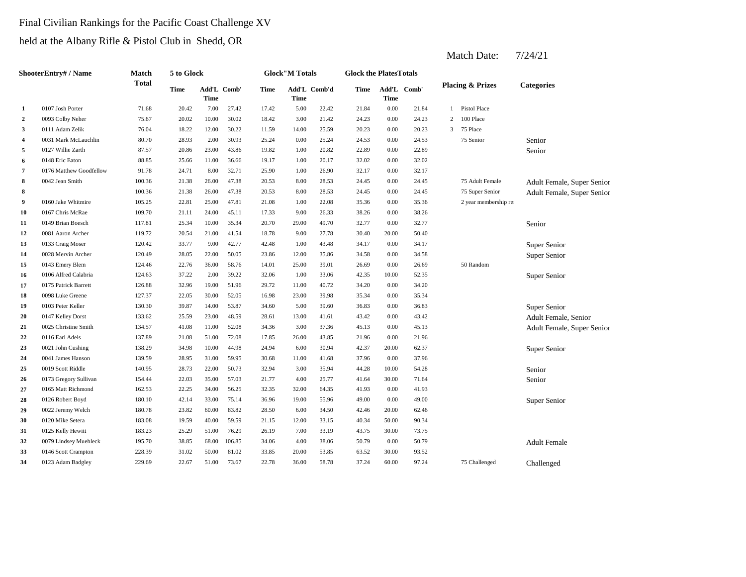#### Final Civilian Rankings for the Pacific Coast Challenge XV

held at the Albany Rifle & Pistol Club in Shedd, OR

|                         | <b>ShooterEntry#/Name</b> | Match        | 5 to Glock  |                            |        |             | <b>Glock</b> "M Totals |              | <b>Glock the PlatesTotals</b> |             |             |   |                             |                            |
|-------------------------|---------------------------|--------------|-------------|----------------------------|--------|-------------|------------------------|--------------|-------------------------------|-------------|-------------|---|-----------------------------|----------------------------|
|                         |                           | <b>Total</b> | <b>Time</b> | Add'L Comb'<br><b>Time</b> |        | <b>Time</b> | <b>Time</b>            | Add'L Comb'd | Time                          | <b>Time</b> | Add'L Comb' |   | <b>Placing &amp; Prizes</b> | <b>Categories</b>          |
| 1                       | 0107 Josh Porter          | 71.68        | 20.42       | 7.00                       | 27.42  | 17.42       | 5.00                   | 22.42        | 21.84                         | 0.00        | 21.84       | 1 | Pistol Place                |                            |
| $\overline{2}$          | 0093 Colby Neher          | 75.67        | 20.02       | 10.00                      | 30.02  | 18.42       | 3.00                   | 21.42        | 24.23                         | 0.00        | 24.23       | 2 | 100 Place                   |                            |
| 3                       | 0111 Adam Zelik           | 76.04        | 18.22       | 12.00                      | 30.22  | 11.59       | 14.00                  | 25.59        | 20.23                         | 0.00        | 20.23       | 3 | 75 Place                    |                            |
| $\overline{\mathbf{4}}$ | 0031 Mark McLauchlin      | 80.70        | 28.93       | 2.00                       | 30.93  | 25.24       | 0.00                   | 25.24        | 24.53                         | 0.00        | 24.53       |   | 75 Senior                   | Senior                     |
| 5                       | 0127 Willie Zarth         | 87.57        | 20.86       | 23.00                      | 43.86  | 19.82       | 1.00                   | 20.82        | 22.89                         | 0.00        | 22.89       |   |                             | Senior                     |
| 6                       | 0148 Eric Eaton           | 88.85        | 25.66       | 11.00                      | 36.66  | 19.17       | 1.00                   | 20.17        | 32.02                         | 0.00        | 32.02       |   |                             |                            |
| 7                       | 0176 Matthew Goodfellow   | 91.78        | 24.71       | 8.00                       | 32.71  | 25.90       | 1.00                   | 26.90        | 32.17                         | 0.00        | 32.17       |   |                             |                            |
| 8                       | 0042 Jean Smith           | 100.36       | 21.38       | 26.00                      | 47.38  | 20.53       | 8.00                   | 28.53        | 24.45                         | 0.00        | 24.45       |   | 75 Adult Female             | Adult Female, Super Senior |
| 8                       |                           | 100.36       | 21.38       | 26.00                      | 47.38  | 20.53       | 8.00                   | 28.53        | 24.45                         | 0.00        | 24.45       |   | 75 Super Senior             | Adult Female, Super Senior |
| 9                       | 0160 Jake Whitmire        | 105.25       | 22.81       | 25.00                      | 47.81  | 21.08       | 1.00                   | 22.08        | 35.36                         | 0.00        | 35.36       |   | 2 year membership rei       |                            |
| 10                      | 0167 Chris McRae          | 109.70       | 21.11       | 24.00                      | 45.11  | 17.33       | 9.00                   | 26.33        | 38.26                         | 0.00        | 38.26       |   |                             |                            |
| 11                      | 0149 Brian Boesch         | 117.81       | 25.34       | 10.00                      | 35.34  | 20.70       | 29.00                  | 49.70        | 32.77                         | 0.00        | 32.77       |   |                             | Senior                     |
| 12                      | 0081 Aaron Archer         | 119.72       | 20.54       | 21.00                      | 41.54  | 18.78       | 9.00                   | 27.78        | 30.40                         | 20.00       | 50.40       |   |                             |                            |
| 13                      | 0133 Craig Moser          | 120.42       | 33.77       | 9.00                       | 42.77  | 42.48       | 1.00                   | 43.48        | 34.17                         | 0.00        | 34.17       |   |                             | Super Senior               |
| 14                      | 0028 Mervin Archer        | 120.49       | 28.05       | 22.00                      | 50.05  | 23.86       | 12.00                  | 35.86        | 34.58                         | 0.00        | 34.58       |   |                             | Super Senior               |
| 15                      | 0143 Emery Blem           | 124.46       | 22.76       | 36.00                      | 58.76  | 14.01       | 25.00                  | 39.01        | 26.69                         | 0.00        | 26.69       |   | 50 Random                   |                            |
| 16                      | 0106 Alfred Calabria      | 124.63       | 37.22       | 2.00                       | 39.22  | 32.06       | 1.00                   | 33.06        | 42.35                         | 10.00       | 52.35       |   |                             | Super Senior               |
| 17                      | 0175 Patrick Barrett      | 126.88       | 32.96       | 19.00                      | 51.96  | 29.72       | 11.00                  | 40.72        | 34.20                         | 0.00        | 34.20       |   |                             |                            |
| 18                      | 0098 Luke Greene          | 127.37       | 22.05       | 30.00                      | 52.05  | 16.98       | 23.00                  | 39.98        | 35.34                         | 0.00        | 35.34       |   |                             |                            |
| 19                      | 0103 Peter Keller         | 130.30       | 39.87       | 14.00                      | 53.87  | 34.60       | 5.00                   | 39.60        | 36.83                         | 0.00        | 36.83       |   |                             | Super Senior               |
| 20                      | 0147 Kelley Dorst         | 133.62       | 25.59       | 23.00                      | 48.59  | 28.61       | 13.00                  | 41.61        | 43.42                         | 0.00        | 43.42       |   |                             | Adult Female, Senior       |
| 21                      | 0025 Christine Smith      | 134.57       | 41.08       | 11.00                      | 52.08  | 34.36       | 3.00                   | 37.36        | 45.13                         | 0.00        | 45.13       |   |                             | Adult Female, Super Senior |
| 22                      | 0116 Earl Adels           | 137.89       | 21.08       | 51.00                      | 72.08  | 17.85       | 26.00                  | 43.85        | 21.96                         | 0.00        | 21.96       |   |                             |                            |
| 23                      | 0021 John Cushing         | 138.29       | 34.98       | 10.00                      | 44.98  | 24.94       | 6.00                   | 30.94        | 42.37                         | 20.00       | 62.37       |   |                             | Super Senior               |
| 24                      | 0041 James Hanson         | 139.59       | 28.95       | 31.00                      | 59.95  | 30.68       | 11.00                  | 41.68        | 37.96                         | 0.00        | 37.96       |   |                             |                            |
| 25                      | 0019 Scott Riddle         | 140.95       | 28.73       | 22.00                      | 50.73  | 32.94       | 3.00                   | 35.94        | 44.28                         | 10.00       | 54.28       |   |                             | Senior                     |
| 26                      | 0173 Gregory Sullivan     | 154.44       | 22.03       | 35.00                      | 57.03  | 21.77       | 4.00                   | 25.77        | 41.64                         | 30.00       | 71.64       |   |                             | Senior                     |
| 27                      | 0165 Matt Richmond        | 162.53       | 22.25       | 34.00                      | 56.25  | 32.35       | 32.00                  | 64.35        | 41.93                         | 0.00        | 41.93       |   |                             |                            |
| 28                      | 0126 Robert Boyd          | 180.10       | 42.14       | 33.00                      | 75.14  | 36.96       | 19.00                  | 55.96        | 49.00                         | 0.00        | 49.00       |   |                             | Super Senior               |
| 29                      | 0022 Jeremy Welch         | 180.78       | 23.82       | 60.00                      | 83.82  | 28.50       | 6.00                   | 34.50        | 42.46                         | 20.00       | 62.46       |   |                             |                            |
| 30                      | 0120 Mike Setera          | 183.08       | 19.59       | 40.00                      | 59.59  | 21.15       | 12.00                  | 33.15        | 40.34                         | 50.00       | 90.34       |   |                             |                            |
| 31                      | 0125 Kelly Hewitt         | 183.23       | 25.29       | 51.00                      | 76.29  | 26.19       | 7.00                   | 33.19        | 43.75                         | 30.00       | 73.75       |   |                             |                            |
| 32                      | 0079 Lindsey Muehleck     | 195.70       | 38.85       | 68.00                      | 106.85 | 34.06       | 4.00                   | 38.06        | 50.79                         | 0.00        | 50.79       |   |                             | <b>Adult Female</b>        |
| 33                      | 0146 Scott Crampton       | 228.39       | 31.02       | 50.00                      | 81.02  | 33.85       | 20.00                  | 53.85        | 63.52                         | 30.00       | 93.52       |   |                             |                            |
| 34                      | 0123 Adam Badgley         | 229.69       | 22.67       | 51.00                      | 73.67  | 22.78       | 36.00                  | 58.78        | 37.24                         | 60.00       | 97.24       |   | 75 Challenged               | Challenged                 |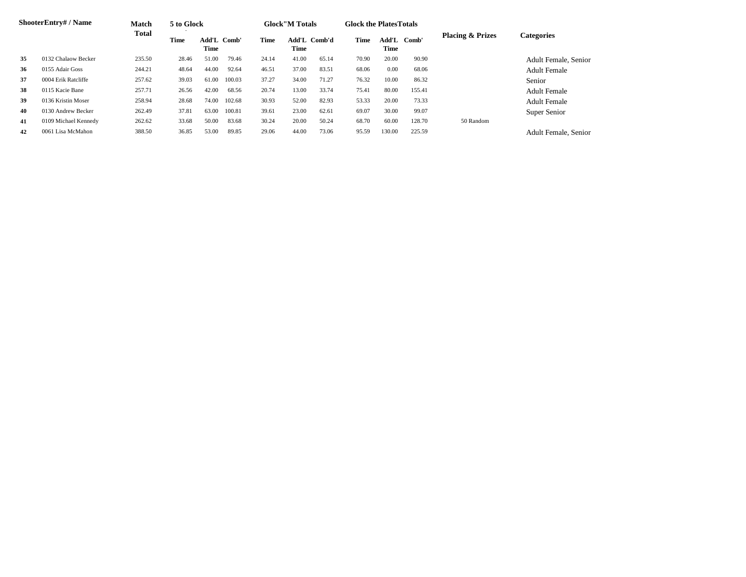|    | <b>ShooterEntry#/Name</b> | Match  | 5 to Glock  |                     |        |       | <b>Glock</b> "M Totals |       | <b>Glock the Plates Totals</b> |               |        |                             |                             |
|----|---------------------------|--------|-------------|---------------------|--------|-------|------------------------|-------|--------------------------------|---------------|--------|-----------------------------|-----------------------------|
|    |                           | Total  | <b>Time</b> | Add'L Comb'<br>Time |        | Time  | Add'L Comb'd<br>Time   |       | Time                           | Add'L<br>Time | Comb'  | <b>Placing &amp; Prizes</b> | <b>Categories</b>           |
| 35 | 0132 Chalaow Becker       | 235.50 | 28.46       | 51.00               | 79.46  | 24.14 | 41.00                  | 65.14 | 70.90                          | 20.00         | 90.90  |                             | <b>Adult Female, Senior</b> |
| 36 | 0155 Adair Goss           | 244.21 | 48.64       | 44.00               | 92.64  | 46.51 | 37.00                  | 83.51 | 68.06                          | 0.00          | 68.06  |                             | <b>Adult Female</b>         |
| 37 | 0004 Erik Ratcliffe       | 257.62 | 39.03       | 61.00               | 100.03 | 37.27 | 34.00                  | 71.27 | 76.32                          | 10.00         | 86.32  |                             | Senior                      |
| 38 | 0115 Kacie Bane           | 257.71 | 26.56       | 42.00               | 68.56  | 20.74 | 13.00                  | 33.74 | 75.41                          | 80.00         | 155.41 |                             | <b>Adult Female</b>         |
| 39 | 0136 Kristin Moser        | 258.94 | 28.68       | 74.00               | 102.68 | 30.93 | 52.00                  | 82.93 | 53.33                          | 20.00         | 73.33  |                             | <b>Adult Female</b>         |
| 40 | 0130 Andrew Becker        | 262.49 | 37.81       | 63.00               | 100.81 | 39.61 | 23.00                  | 62.61 | 69.07                          | 30.00         | 99.07  |                             | Super Senior                |
| 41 | 0109 Michael Kennedy      | 262.62 | 33.68       | 50.00               | 83.68  | 30.24 | 20.00                  | 50.24 | 68.70                          | 60.00         | 128.70 | 50 Random                   |                             |
| 42 | 0061 Lisa McMahon         | 388.50 | 36.85       | 53.00               | 89.85  | 29.06 | 44.00                  | 73.06 | 95.59                          | 130.00        | 225.59 |                             | Adult Female, Senior        |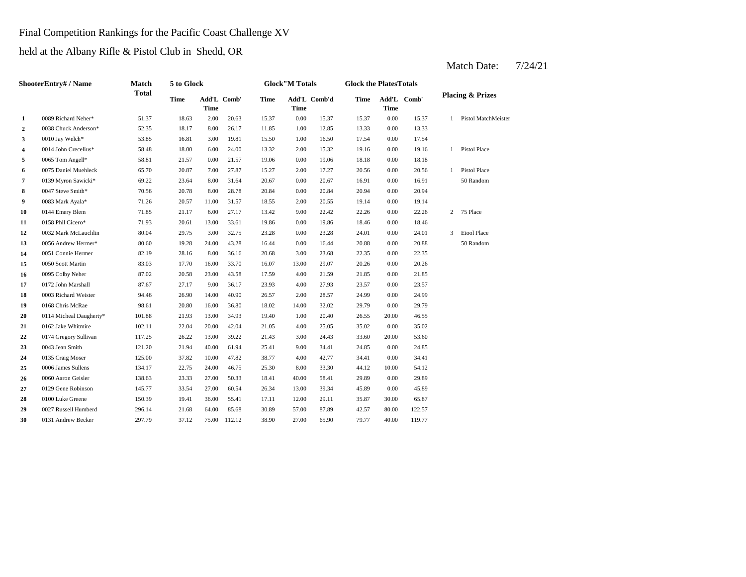#### Final Competition Rankings for the Pacific Coast Challenge XV

held at the Albany Rifle & Pistol Club in Shedd, OR

#### **2** 1.00 13.33 0038 Chuck Anderson\* 52.35 18.17 8.00 26.17 11.85 **3** 1.00 0.10 Jay Welch\* 53.85 16.81 3.00 19.81 15.50 1.00 16.50 1.7.54 **4** 0014 John Crecelius\* 58.48 18.00 6.00 24.00 13.32 2.00 15.32 19.16 0.00 **5** 0.00 18.18 0065 Tom Angell\* 58.81 21.57 0.00 21.57 19.06 19.06 **6** 0075 Daniel Muehleck 65.70 20.87 7.00 27.87 15.27 2.00 17.27 20.56 0.00 **7** 0139 Myron Sawicki\* 69.22 23.64 8.00 31.64 20.67 0.00 20.67 16.91 **8** 0.047 Steve Smith\* 70.56 20.78 8.00 28.78 20.84 0.00 20.84 20.94 **9** 0083 Mark Ayala\* 71.26 20.57 11.00 31.57 18.55 2.00 20.55 19.14 0.00 **10** 9.00 22.26 0144 Emery Blem 71.85 21.17 6.00 27.17 13.42 22.42 0.00 22.26 **11** 0.00 18.46 0158 Phil Cicero\* 71.93 20.61 13.00 33.61 19.86 19.86 0.00 **12** 0.00 24.01 0032 Mark McLauchlin 80.04 29.75 3.00 32.75 23.28 23.28 0.00 24.01 **13** 0.056 Andrew Hermer\* 80.60 19.28 24.00 43.28 16.44 0.00 16.44 20.88 0.00 **14** 3.00 22.35 0051 Connie Hermer 82.19 28.16 8.00 36.16 20.68 23.68 0.00 **15** 0050 Scott Martin **83.03** 17.70 16.00 33.70 16.07 13.00 29.07 20.26 0.00 20.26 **16** 0095 Colby Neher 87.02 20.58 23.00 43.58 17.59 4.00 21.59 21.85 **17** 0172 John Marshall **87.67** 27.17 9.00 36.17 23.93 4.00 27.93 23.57 **18** 0003 Richard Weister **18 2.00 12.00 12.00 14.00 26.57 2.00 28.57 2.09 24.99 0.00 19** 0168 Chris McRae **98.61** 20.80 16.00 36.80 18.02 14.00 32.02 29.79 0.00 29.79 **20** 0114 Micheal Daugherty\* 101.88 21.93 13.00 34.93 19.40 1.00 20.40 26.55 **21** 0162 Jake Whitmire 102.11 22.04 20.00 42.04 21.05 4.00 25.05 35.02 **22** 3.00 33.60 0174 Gregory Sullivan 117.25 26.22 13.00 39.22 21.43 24.43 20.00 **23** 9.00 21.94 40.00 61.94 25.41 9.00 34.41 24.85 **24** 0135 Craig Moser 125.00 37.82 10.00 47.82 38.77 4.00 42.77 34.41 **25** 8.00 44.12 0006 James Sullens 134.17 22.75 24.00 46.75 25.30 33.30 **26** 0060 Aaron Geisler 138.63 23.33 27.00 50.33 18.41 40.00 58.41 29.89 0.00 **27** 0129 Gene Robinson 145.77 33.54 27.00 60.54 26.34 13.00 39.34 45.89 0.00 45.89 **28** 0100 Luke Greene 150.39 19.41 36.00 55.41 17.11 12.00 29.11 35.87 **29** 0027 Russell Humberd 296.14 21.68 64.00 85.68 30.89 57.00 87.89 42.57 **30** 0131 Andrew Becker 297.79 37.12 75.00 112.12 38.90 27.00 65.90 79.77 40.00 119.77 80.00 122.57 29.11 35.87 30.00 65.87 29.89 10.00 54.12 42.77 0.00 34.41 53.60 0043 Jean Smith 121.20 21.94 40.00 61.94 25.41 9.00 34.41 24.85 0.00 24.85 0.00 35.02 20.40 20.00 46.55 24.99 0.00 23.57 21.59 0.00 21.85 22.35 20.88 50 Random 3 Etool Place 18.46 2 75 Place 19.14 0.00 20.94 0.00 16.91 50 Random 20.56 1 Pistol Place 0.00 18.18 19.16 1 Pistol Place 0.00 17.54 12.85 0.00 13.33 15.37 15.37 0.00 15.37 1 Pistol MatchMeister **Add'L Comb' Placing & Prizes Time Time 1** 0089 Richard Neher\* 51.37 18.63 2.00 20.63 15.37 0.00 **Add'L Comb' Time Time Add'L Comb'd Time Time ShooterEntry# / Name Match Total 5 to Glock Time Glock"M Totals Glock the PlatesTotals**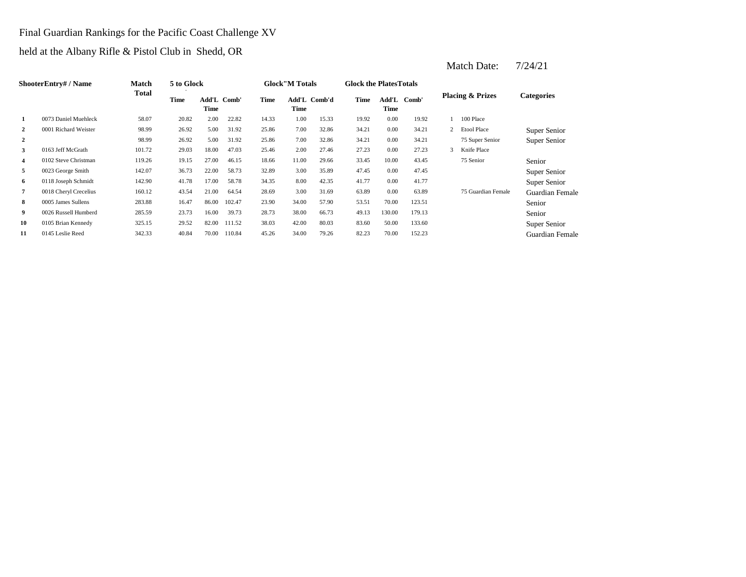# Final Guardian Rankings for the Pacific Coast Challenge XV

held at the Albany Rifle & Pistol Club in Shedd, OR

|                | ShooterEntry# / Name  | <b>Match</b> | 5 to Glock |                     |        |       | <b>Glock</b> "M Totals |              | <b>Glock the Plates Totals</b> |               |        |                             |                        |
|----------------|-----------------------|--------------|------------|---------------------|--------|-------|------------------------|--------------|--------------------------------|---------------|--------|-----------------------------|------------------------|
|                |                       | Total        | Time       | Add'L Comb'<br>Time |        | Time  | Time                   | Add'L Comb'd | Time                           | Add'L<br>Time | Comb'  | <b>Placing &amp; Prizes</b> | <b>Categories</b>      |
| 1              | 0073 Daniel Muehleck  | 58.07        | 20.82      | 2.00                | 22.82  | 14.33 | 1.00                   | 15.33        | 19.92                          | 0.00          | 19.92  | 100 Place                   |                        |
| $\overline{2}$ | 0001 Richard Weister  | 98.99        | 26.92      | 5.00                | 31.92  | 25.86 | 7.00                   | 32.86        | 34.21                          | 0.00          | 34.21  | 2 Etool Place               | Super Senior           |
| $\overline{2}$ |                       | 98.99        | 26.92      | 5.00                | 31.92  | 25.86 | 7.00                   | 32.86        | 34.21                          | 0.00          | 34.21  | 75 Super Senior             | Super Senior           |
| 3              | 0163 Jeff McGrath     | 101.72       | 29.03      | 18.00               | 47.03  | 25.46 | 2.00                   | 27.46        | 27.23                          | 0.00          | 27.23  | Knife Place                 |                        |
| $\overline{4}$ | 0102 Steve Christman  | 119.26       | 19.15      | 27.00               | 46.15  | 18.66 | 11.00                  | 29.66        | 33.45                          | 10.00         | 43.45  | 75 Senior                   | Senior                 |
| 5              | 0023 George Smith     | 142.07       | 36.73      | 22.00               | 58.73  | 32.89 | 3.00                   | 35.89        | 47.45                          | 0.00          | 47.45  |                             | Super Senior           |
| 6              | 0118 Joseph Schmidt   | 142.90       | 41.78      | 17.00               | 58.78  | 34.35 | 8.00                   | 42.35        | 41.77                          | 0.00          | 41.77  |                             | Super Senior           |
| 7              | 0018 Cheryl Crecelius | 160.12       | 43.54      | 21.00               | 64.54  | 28.69 | 3.00                   | 31.69        | 63.89                          | 0.00          | 63.89  | 75 Guardian Female          | Guardian Female        |
| 8              | 0005 James Sullens    | 283.88       | 16.47      | 86.00               | 102.47 | 23.90 | 34.00                  | 57.90        | 53.51                          | 70.00         | 123.51 |                             | Senior                 |
| 9              | 0026 Russell Humberd  | 285.59       | 23.73      | 16.00               | 39.73  | 28.73 | 38.00                  | 66.73        | 49.13                          | 130.00        | 179.13 |                             | Senior                 |
| 10             | 0105 Brian Kennedy    | 325.15       | 29.52      | 82.00               | 111.52 | 38.03 | 42.00                  | 80.03        | 83.60                          | 50.00         | 133.60 |                             | Super Senior           |
| 11             | 0145 Leslie Reed      | 342.33       | 40.84      | 70.00               | 110.84 | 45.26 | 34.00                  | 79.26        | 82.23                          | 70.00         | 152.23 |                             | <b>Guardian Female</b> |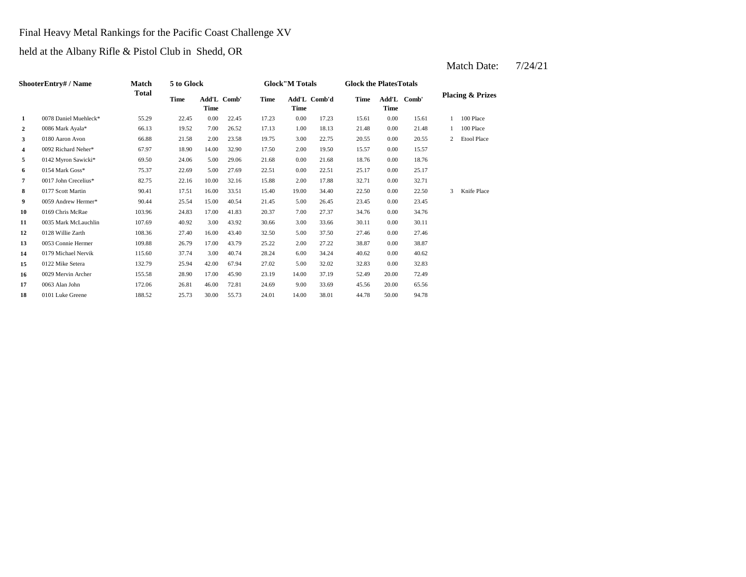# Final Heavy Metal Rankings for the Pacific Coast Challenge XV

held at the Albany Rifle & Pistol Club in Shedd, OR

|                  | ShooterEntry# / Name<br>Match |              | 5 to Glock  |                     |       |       | <b>Glock</b> "M Totals |              | <b>Glock the PlatesTotals</b> |             |             |              |                             |
|------------------|-------------------------------|--------------|-------------|---------------------|-------|-------|------------------------|--------------|-------------------------------|-------------|-------------|--------------|-----------------------------|
|                  |                               | <b>Total</b> | <b>Time</b> | Add'L Comb'<br>Time |       | Time  | <b>Time</b>            | Add'L Comb'd | <b>Time</b>                   | <b>Time</b> | Add'L Comb' |              | <b>Placing &amp; Prizes</b> |
| 1                | 0078 Daniel Muehleck*         | 55.29        | 22.45       | 0.00                | 22.45 | 17.23 | 0.00                   | 17.23        | 15.61                         | 0.00        | 15.61       |              | 100 Place                   |
| $\boldsymbol{2}$ | 0086 Mark Ayala*              | 66.13        | 19.52       | 7.00                | 26.52 | 17.13 | 1.00                   | 18.13        | 21.48                         | 0.00        | 21.48       |              | 100 Place                   |
| 3                | 0180 Aaron Avon               | 66.88        | 21.58       | 2.00                | 23.58 | 19.75 | 3.00                   | 22.75        | 20.55                         | 0.00        | 20.55       | $\mathbf{2}$ | <b>Etool Place</b>          |
| 4                | 0092 Richard Neher*           | 67.97        | 18.90       | 14.00               | 32.90 | 17.50 | 2.00                   | 19.50        | 15.57                         | 0.00        | 15.57       |              |                             |
| 5                | 0142 Myron Sawicki*           | 69.50        | 24.06       | 5.00                | 29.06 | 21.68 | 0.00                   | 21.68        | 18.76                         | 0.00        | 18.76       |              |                             |
| 6                | 0154 Mark Goss*               | 75.37        | 22.69       | 5.00                | 27.69 | 22.51 | 0.00                   | 22.51        | 25.17                         | 0.00        | 25.17       |              |                             |
| 7                | 0017 John Crecelius*          | 82.75        | 22.16       | 10.00               | 32.16 | 15.88 | 2.00                   | 17.88        | 32.71                         | 0.00        | 32.71       |              |                             |
| 8                | 0177 Scott Martin             | 90.41        | 17.51       | 16.00               | 33.51 | 15.40 | 19.00                  | 34.40        | 22.50                         | 0.00        | 22.50       | 3            | Knife Place                 |
| 9                | 0059 Andrew Hermer*           | 90.44        | 25.54       | 15.00               | 40.54 | 21.45 | 5.00                   | 26.45        | 23.45                         | 0.00        | 23.45       |              |                             |
| 10               | 0169 Chris McRae              | 103.96       | 24.83       | 17.00               | 41.83 | 20.37 | 7.00                   | 27.37        | 34.76                         | 0.00        | 34.76       |              |                             |
| 11               | 0035 Mark McLauchlin          | 107.69       | 40.92       | 3.00                | 43.92 | 30.66 | 3.00                   | 33.66        | 30.11                         | 0.00        | 30.11       |              |                             |
| 12               | 0128 Willie Zarth             | 108.36       | 27.40       | 16.00               | 43.40 | 32.50 | 5.00                   | 37.50        | 27.46                         | 0.00        | 27.46       |              |                             |
| 13               | 0053 Connie Hermer            | 109.88       | 26.79       | 17.00               | 43.79 | 25.22 | 2.00                   | 27.22        | 38.87                         | 0.00        | 38.87       |              |                             |
| 14               | 0179 Michael Nervik           | 115.60       | 37.74       | 3.00                | 40.74 | 28.24 | 6.00                   | 34.24        | 40.62                         | 0.00        | 40.62       |              |                             |
| 15               | 0122 Mike Setera              | 132.79       | 25.94       | 42.00               | 67.94 | 27.02 | 5.00                   | 32.02        | 32.83                         | 0.00        | 32.83       |              |                             |
| 16               | 0029 Mervin Archer            | 155.58       | 28.90       | 17.00               | 45.90 | 23.19 | 14.00                  | 37.19        | 52.49                         | 20.00       | 72.49       |              |                             |
| 17               | 0063 Alan John                | 172.06       | 26.81       | 46.00               | 72.81 | 24.69 | 9.00                   | 33.69        | 45.56                         | 20.00       | 65.56       |              |                             |
| 18               | 0101 Luke Greene              | 188.52       | 25.73       | 30.00               | 55.73 | 24.01 | 14.00                  | 38.01        | 44.78                         | 50.00       | 94.78       |              |                             |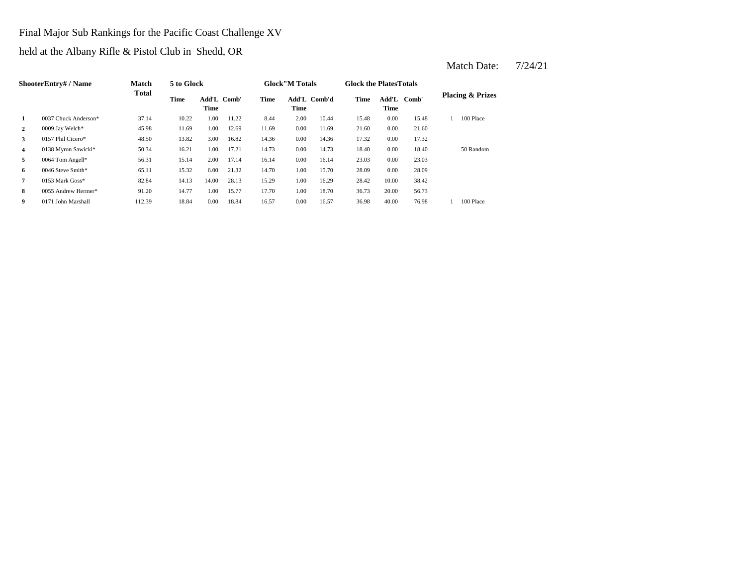# Final Major Sub Rankings for the Pacific Coast Challenge XV

held at the Albany Rifle & Pistol Club in Shedd, OR

|                | ShooterEntry# / Name | <b>Match</b> | 5 to Glock |                     |       |       | <b>Glock</b> "M Totals |              | <b>Glock the PlatesTotals</b> |               |       |                             |
|----------------|----------------------|--------------|------------|---------------------|-------|-------|------------------------|--------------|-------------------------------|---------------|-------|-----------------------------|
|                |                      | <b>Total</b> | Time       | Add'L Comb'<br>Time |       | Time  | Time                   | Add'L Comb'd | Time                          | Add'L<br>Time | Comb' | <b>Placing &amp; Prizes</b> |
| 1              | 0037 Chuck Anderson* | 37.14        | 10.22      | 1.00                | 11.22 | 8.44  | 2.00                   | 10.44        | 15.48                         | 0.00          | 15.48 | 100 Place                   |
| $\overline{2}$ | 0009 Jay Welch*      | 45.98        | 11.69      | 1.00                | 12.69 | 11.69 | 0.00                   | 11.69        | 21.60                         | 0.00          | 21.60 |                             |
| 3              | 0157 Phil Cicero*    | 48.50        | 13.82      | 3.00                | 16.82 | 14.36 | 0.00                   | 14.36        | 17.32                         | 0.00          | 17.32 |                             |
| $\overline{4}$ | 0138 Myron Sawicki*  | 50.34        | 16.21      | 1.00                | 17.21 | 14.73 | 0.00                   | 14.73        | 18.40                         | 0.00          | 18.40 | 50 Random                   |
| 5              | 0064 Tom Angell*     | 56.31        | 15.14      | 2.00                | 17.14 | 16.14 | 0.00                   | 16.14        | 23.03                         | 0.00          | 23.03 |                             |
| 6              | 0046 Steve Smith*    | 65.11        | 15.32      | 6.00                | 21.32 | 14.70 | 1.00                   | 15.70        | 28.09                         | 0.00          | 28.09 |                             |
| 7              | 0153 Mark Goss*      | 82.84        | 14.13      | 14.00               | 28.13 | 15.29 | 1.00                   | 16.29        | 28.42                         | 10.00         | 38.42 |                             |
| 8              | 0055 Andrew Hermer*  | 91.20        | 14.77      | 1.00                | 15.77 | 17.70 | 1.00                   | 18.70        | 36.73                         | 20.00         | 56.73 |                             |
| 9              | 0171 John Marshall   | 112.39       | 18.84      | 0.00                | 18.84 | 16.57 | 0.00                   | 16.57        | 36.98                         | 40.00         | 76.98 | 100 Place                   |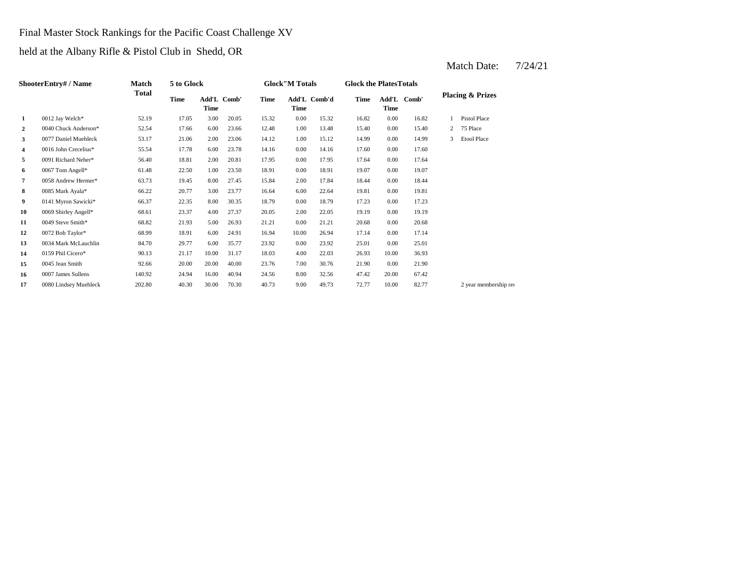# Final Master Stock Rankings for the Pacific Coast Challenge XV

held at the Albany Rifle & Pistol Club in Shedd, OR

|                | ShooterEntry# / Name  | Match  | 5 to Glock |                     |       |             | <b>Glock</b> "M Totals |              | <b>Glock the PlatesTotals</b> |               |       |                |                             |
|----------------|-----------------------|--------|------------|---------------------|-------|-------------|------------------------|--------------|-------------------------------|---------------|-------|----------------|-----------------------------|
|                |                       | Total  | Time       | Add'L Comb'<br>Time |       | <b>Time</b> | Time                   | Add'L Comb'd | <b>Time</b>                   | Add'L<br>Time | Comb' |                | <b>Placing &amp; Prizes</b> |
| -1             | 0012 Jay Welch*       | 52.19  | 17.05      | 3.00                | 20.05 | 15.32       | 0.00                   | 15.32        | 16.82                         | 0.00          | 16.82 |                | <b>Pistol Place</b>         |
| $\overline{2}$ | 0040 Chuck Anderson*  | 52.54  | 17.66      | 6.00                | 23.66 | 12.48       | 1.00                   | 13.48        | 15.40                         | 0.00          | 15.40 | $\overline{2}$ | 75 Place                    |
| 3              | 0077 Daniel Muehleck  | 53.17  | 21.06      | 2.00                | 23.06 | 14.12       | 1.00                   | 15.12        | 14.99                         | 0.00          | 14.99 | 3              | <b>Etool Place</b>          |
| 4              | 0016 John Crecelius*  | 55.54  | 17.78      | 6.00                | 23.78 | 14.16       | 0.00                   | 14.16        | 17.60                         | 0.00          | 17.60 |                |                             |
| 5              | 0091 Richard Neher*   | 56.40  | 18.81      | 2.00                | 20.81 | 17.95       | 0.00                   | 17.95        | 17.64                         | 0.00          | 17.64 |                |                             |
| 6              | 0067 Tom Angell*      | 61.48  | 22.50      | 1.00                | 23.50 | 18.91       | 0.00                   | 18.91        | 19.07                         | 0.00          | 19.07 |                |                             |
| $\overline{7}$ | 0058 Andrew Hermer*   | 63.73  | 19.45      | 8.00                | 27.45 | 15.84       | 2.00                   | 17.84        | 18.44                         | 0.00          | 18.44 |                |                             |
| 8              | 0085 Mark Ayala*      | 66.22  | 20.77      | 3.00                | 23.77 | 16.64       | 6.00                   | 22.64        | 19.81                         | 0.00          | 19.81 |                |                             |
| 9              | 0141 Myron Sawicki*   | 66.37  | 22.35      | 8.00                | 30.35 | 18.79       | 0.00                   | 18.79        | 17.23                         | 0.00          | 17.23 |                |                             |
| 10             | 0069 Shirley Angell*  | 68.61  | 23.37      | 4.00                | 27.37 | 20.05       | 2.00                   | 22.05        | 19.19                         | 0.00          | 19.19 |                |                             |
| 11             | 0049 Steve Smith*     | 68.82  | 21.93      | 5.00                | 26.93 | 21.21       | 0.00                   | 21.21        | 20.68                         | 0.00          | 20.68 |                |                             |
| 12             | 0072 Bob Taylor*      | 68.99  | 18.91      | 6.00                | 24.91 | 16.94       | 10.00                  | 26.94        | 17.14                         | 0.00          | 17.14 |                |                             |
| 13             | 0034 Mark McLauchlin  | 84.70  | 29.77      | 6.00                | 35.77 | 23.92       | 0.00                   | 23.92        | 25.01                         | 0.00          | 25.01 |                |                             |
| 14             | 0159 Phil Cicero*     | 90.13  | 21.17      | 10.00               | 31.17 | 18.03       | 4.00                   | 22.03        | 26.93                         | 10.00         | 36.93 |                |                             |
| 15             | 0045 Jean Smith       | 92.66  | 20.00      | 20.00               | 40.00 | 23.76       | 7.00                   | 30.76        | 21.90                         | 0.00          | 21.90 |                |                             |
| 16             | 0007 James Sullens    | 140.92 | 24.94      | 16.00               | 40.94 | 24.56       | 8.00                   | 32.56        | 47.42                         | 20.00         | 67.42 |                |                             |
| 17             | 0080 Lindsey Muehleck | 202.80 | 40.30      | 30.00               | 70.30 | 40.73       | 9.00                   | 49.73        | 72.77                         | 10.00         | 82.77 |                | 2 year membership rei       |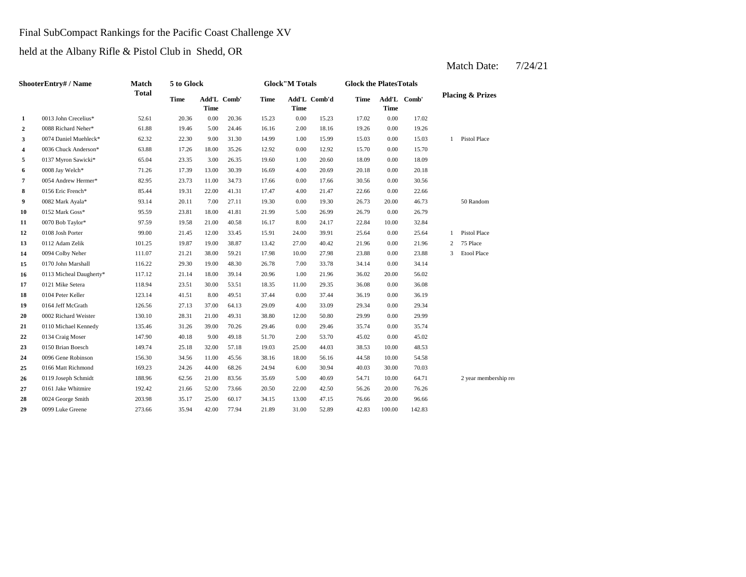#### Final SubCompact Rankings for the Pacific Coast Challenge XV

held at the Albany Rifle & Pistol Club in Shedd, OR

**2** 0088 Richard Neher\* 61.88 19.46 5.00 24.46 16.16 2.00 18.16 19.26 **3** 1.00 15.03 1.000 0.00 0.00 0.00 14.99 1.00 15.99 1.503 0.00 **4** 0.0036 Chuck Anderson\* 63.88 17.26 18.00 35.26 12.92 0.00 12.92 15.70 **5** 1.00 18.09 0137 Myron Sawicki\* 65.04 23.35 3.00 26.35 19.60 20.60 0.00 **6** 4.00 20.18 **7** 0.00 17.66 **82.95** 23.73 11.00 34.73 17.66 0.00 17.66 30.56 **8**  $0.156$  Fric French\* 85.44 19.31 22.00 41.31 17.47 4.00 21.47 22.66 **9** 0.082 Mark Ayala\* 93.14 20.11 7.00 27.11 19.30 0.00 19.30 26.73 20.00 **10**  $0.152$  Mark  $Goss^*$  **15.59 23.81 18.00 41.81 21.99 5.00 26.99 26.79 11** 0070 Bob Taylor\* **97.59** 19.58 21.00 40.58 16.17 8.00 24.17 22.84 10.00 32.84 **12** 0108 Josh Porter 99.00 21.45 12.00 33.45 15.91 24.00 39.91 25.64 **13** 0112 Adam Zelik 101.25 19.87 19.00 38.87 13.42 27.00 40.42 21.96 **14** 10.00 23.88 0094 Colby Neher 111.07 21.21 38.00 59.21 17.98 **15** 7.00 34.14 0170 John Marshall 116.22 29.30 19.00 48.30 **16** 0113 Micheal Daugherty\* 117.12 21.14 18.00 39.14 20.96 1.00 21.96 36.02 **17** 0121 Mike Setera **118.94** 23.51 30.00 53.51 18.35 11.00 29.35 36.08 **18** 0104 Peter Keller 123.14 41.51 8.00 49.51 37.44 0.00 37.44 36.19 0.00 **19** 0164 Jeff McGrath 126.56 27.13 37.00 64.13 29.09 4.00 33.09 29.34 0.00 29.34 **20** 0002 Richard Weister 130.10 28.31 21.00 49.31 38.80 12.00 50.80 29.99 **21** 0110 Michael Kennedy 135.46 31.26 39.00 70.26 29.46 0.00 29.46 35.74 **22** 0134 Craig Moser 147.90 40.18 9.00 49.18 51.70 2.00 53.70 45.02 0.00 **23** 25.00 38.53 0150 Brian Boesch 149.74 25.18 32.00 57.18 19.03 44.03 10.00 48.53 **24** 0096 Gene Robinson 156.30 34.56 11.00 45.56 38.16 18.00 56.16 44.58 25 0166 Matt Richmond 169.23 24.26 44.00 68.26 24.94 5.00 30.94 40.03 **26** 0119 Joseph Schmidt 188.96 62.56 21.00 83.56 35.69 5.00 40.69 54.71 10.00 **27** 22.00 56.26 0161 Jake Whitmire 192.42 21.66 52.00 73.66 20.50 42.50 20.00 **28** 13.00 76.66 0024 George Smith 203.98 35.17 25.00 60.17 34.15 47.15 20.00 96.66 **29** 0099 Luke Greene 273.66 35.94 42.00 77.94 21.89 31.00 52.89 42.83 100.00 142.83 76.26 64.71 2 year membership ren 30.00 70.03 56.16 10.00 54.58 45.02 0.00 35.74 50.80 0.00 29.99 36.19 0.00 36.08 21.96 36.02 20.00 56.02 26.78 33.78 0.00 34.14 27.98 0.00 23.88 3 Etool Place 13.42 27.00 40.42 21.96 0.00 21.96 2 75 Place 39.91 0.00 25.64 1 Pistol Place 26.79 46.73 50 Random 0152 Mark Goss\* 95.59 23.81 18.00 41.81 21.99 26.99 0.00 0.00 22.66 17.66 0.00 30.56 18.09 0008 Jay Welch\* 71.26 17.39 13.00 30.39 16.69 4.00 20.69 20.18 0.00 20.18 0.00 15.70 15.03 1 Pistol Place 0.00 19.26 17.02 0.00 17.02 **Comb' Comb'd Time Add'L Placing & Prizes Time Add'L 1** 0013 John Crecelius\* 52.61 20.36 0.00 20.36 15.23 0.00 15.23 Add'L Comb' **Time Add'L Time Time ShooterEntry# / Name Match Total 5 to Glock Time Glock"M Totals Glock the PlatesTotals Time**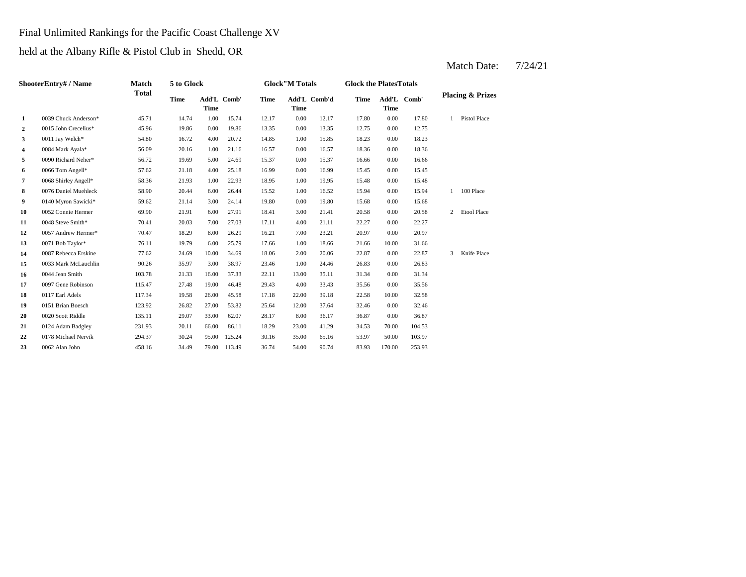# Final Unlimited Rankings for the Pacific Coast Challenge XV

held at the Albany Rifle & Pistol Club in Shedd, OR

|                  | ShooterEntry# / Name | Match        | 5 to Glock  |             |             |             | <b>Glock"M Totals</b> |              | <b>Glock the PlatesTotals</b> |             |             |              |                             |
|------------------|----------------------|--------------|-------------|-------------|-------------|-------------|-----------------------|--------------|-------------------------------|-------------|-------------|--------------|-----------------------------|
|                  |                      | <b>Total</b> | <b>Time</b> | <b>Time</b> | Add'L Comb' | <b>Time</b> | <b>Time</b>           | Add'L Comb'd | <b>Time</b>                   | <b>Time</b> | Add'L Comb' |              | <b>Placing &amp; Prizes</b> |
| $\mathbf{1}$     | 0039 Chuck Anderson* | 45.71        | 14.74       | 1.00        | 15.74       | 12.17       | 0.00                  | 12.17        | 17.80                         | 0.00        | 17.80       | $\mathbf{1}$ | Pistol Place                |
| $\boldsymbol{2}$ | 0015 John Crecelius* | 45.96        | 19.86       | 0.00        | 19.86       | 13.35       | 0.00                  | 13.35        | 12.75                         | 0.00        | 12.75       |              |                             |
| 3                | 0011 Jay Welch*      | 54.80        | 16.72       | 4.00        | 20.72       | 14.85       | 1.00                  | 15.85        | 18.23                         | 0.00        | 18.23       |              |                             |
| 4                | 0084 Mark Ayala*     | 56.09        | 20.16       | 1.00        | 21.16       | 16.57       | 0.00                  | 16.57        | 18.36                         | 0.00        | 18.36       |              |                             |
| 5                | 0090 Richard Neher*  | 56.72        | 19.69       | 5.00        | 24.69       | 15.37       | 0.00                  | 15.37        | 16.66                         | 0.00        | 16.66       |              |                             |
| 6                | 0066 Tom Angell*     | 57.62        | 21.18       | 4.00        | 25.18       | 16.99       | 0.00                  | 16.99        | 15.45                         | 0.00        | 15.45       |              |                             |
| $\pmb{7}$        | 0068 Shirley Angell* | 58.36        | 21.93       | 1.00        | 22.93       | 18.95       | 1.00                  | 19.95        | 15.48                         | 0.00        | 15.48       |              |                             |
| 8                | 0076 Daniel Muehleck | 58.90        | 20.44       | 6.00        | 26.44       | 15.52       | 1.00                  | 16.52        | 15.94                         | 0.00        | 15.94       | 1            | 100 Place                   |
| 9                | 0140 Myron Sawicki*  | 59.62        | 21.14       | 3.00        | 24.14       | 19.80       | 0.00                  | 19.80        | 15.68                         | 0.00        | 15.68       |              |                             |
| 10               | 0052 Connie Hermer   | 69.90        | 21.91       | 6.00        | 27.91       | 18.41       | 3.00                  | 21.41        | 20.58                         | 0.00        | 20.58       | 2            | <b>Etool Place</b>          |
| 11               | 0048 Steve Smith*    | 70.41        | 20.03       | 7.00        | 27.03       | 17.11       | 4.00                  | 21.11        | 22.27                         | 0.00        | 22.27       |              |                             |
| 12               | 0057 Andrew Hermer*  | 70.47        | 18.29       | 8.00        | 26.29       | 16.21       | 7.00                  | 23.21        | 20.97                         | 0.00        | 20.97       |              |                             |
| 13               | 0071 Bob Taylor*     | 76.11        | 19.79       | 6.00        | 25.79       | 17.66       | 1.00                  | 18.66        | 21.66                         | 10.00       | 31.66       |              |                             |
| 14               | 0087 Rebecca Erskine | 77.62        | 24.69       | 10.00       | 34.69       | 18.06       | 2.00                  | 20.06        | 22.87                         | 0.00        | 22.87       | 3            | Knife Place                 |
| 15               | 0033 Mark McLauchlin | 90.26        | 35.97       | 3.00        | 38.97       | 23.46       | 1.00                  | 24.46        | 26.83                         | 0.00        | 26.83       |              |                             |
| 16               | 0044 Jean Smith      | 103.78       | 21.33       | 16.00       | 37.33       | 22.11       | 13.00                 | 35.11        | 31.34                         | 0.00        | 31.34       |              |                             |
| 17               | 0097 Gene Robinson   | 115.47       | 27.48       | 19.00       | 46.48       | 29.43       | 4.00                  | 33.43        | 35.56                         | 0.00        | 35.56       |              |                             |
| 18               | 0117 Earl Adels      | 117.34       | 19.58       | 26.00       | 45.58       | 17.18       | 22.00                 | 39.18        | 22.58                         | 10.00       | 32.58       |              |                             |
| 19               | 0151 Brian Boesch    | 123.92       | 26.82       | 27.00       | 53.82       | 25.64       | 12.00                 | 37.64        | 32.46                         | 0.00        | 32.46       |              |                             |
| 20               | 0020 Scott Riddle    | 135.11       | 29.07       | 33.00       | 62.07       | 28.17       | 8.00                  | 36.17        | 36.87                         | 0.00        | 36.87       |              |                             |
| 21               | 0124 Adam Badgley    | 231.93       | 20.11       | 66.00       | 86.11       | 18.29       | 23.00                 | 41.29        | 34.53                         | 70.00       | 104.53      |              |                             |
| 22               | 0178 Michael Nervik  | 294.37       | 30.24       | 95.00       | 125.24      | 30.16       | 35.00                 | 65.16        | 53.97                         | 50.00       | 103.97      |              |                             |
| 23               | 0062 Alan John       | 458.16       | 34.49       | 79.00       | 113.49      | 36.74       | 54.00                 | 90.74        | 83.93                         | 170.00      | 253.93      |              |                             |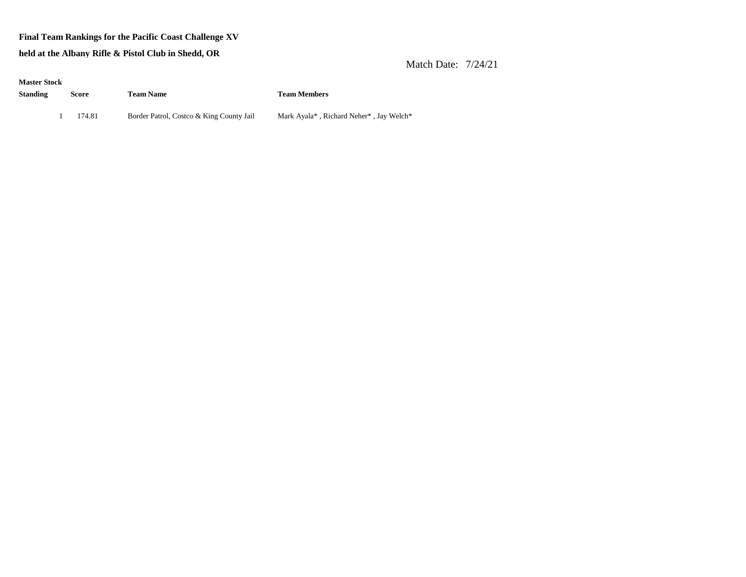#### **Final Team Rankings for the Pacific Coast Challenge XV**

**held at the Albany Rifle & Pistol Club in Shedd, OR**

| <b>Master Stock</b> |        |                                          |                                         |
|---------------------|--------|------------------------------------------|-----------------------------------------|
| Standing            | Score  | <b>Team Name</b>                         | <b>Team Members</b>                     |
|                     |        |                                          |                                         |
|                     | 174.81 | Border Patrol, Costco & King County Jail | Mark Ayala*, Richard Neher*, Jay Welch* |